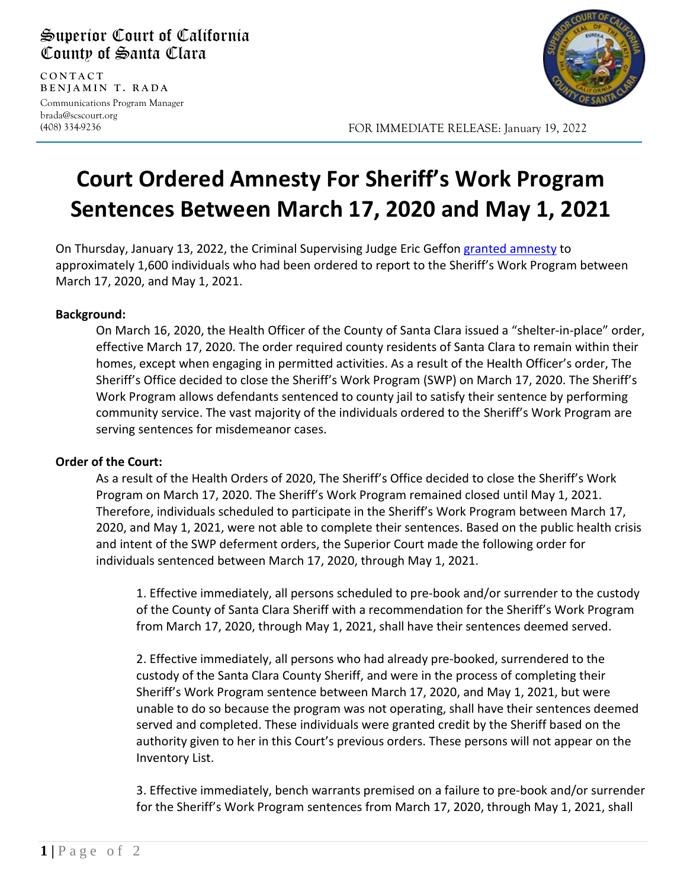## Superior Court of California County of Santa Clara

**CONTAC T BENJAMIN T. RADA** Communications Program Manager brada@scscourt.org

(408) 334-9236

l



FOR IMMEDIATE RELEASE: January 19, 2022

## **Court Ordered Amnesty For Sheriff's Work Program Sentences Between March 17, 2020 and May 1, 2021**

On Thursday, January 13, 2022, the Criminal Supervising Judge Eric Geffon [granted amnesty](https://www.scscourt.org/general_info/news_media/newspdfs/2022/Order%20of%20the%20Court%20Awarding%20Custody%20Credit%20for%20Participation%20in%20Sheriff%20Work%20Program.pdf) to approximately 1,600 individuals who had been ordered to report to the Sheriff's Work Program between March 17, 2020, and May 1, 2021.

## **Background:**

On March 16, 2020, the Health Officer of the County of Santa Clara issued a "shelter-in-place" order, effective March 17, 2020. The order required county residents of Santa Clara to remain within their homes, except when engaging in permitted activities. As a result of the Health Officer's order, The Sheriff's Office decided to close the Sheriff's Work Program (SWP) on March 17, 2020. The Sheriff's Work Program allows defendants sentenced to county jail to satisfy their sentence by performing community service. The vast majority of the individuals ordered to the Sheriff's Work Program are serving sentences for misdemeanor cases.

## **Order of the Court:**

As a result of the Health Orders of 2020, The Sheriff's Office decided to close the Sheriff's Work Program on March 17, 2020. The Sheriff's Work Program remained closed until May 1, 2021. Therefore, individuals scheduled to participate in the Sheriff's Work Program between March 17, 2020, and May 1, 2021, were not able to complete their sentences. Based on the public health crisis and intent of the SWP deferment orders, the Superior Court made the following order for individuals sentenced between March 17, 2020, through May 1, 2021.

1. Effective immediately, all persons scheduled to pre-book and/or surrender to the custody of the County of Santa Clara Sheriff with a recommendation for the Sheriff's Work Program from March 17, 2020, through May 1, 2021, shall have their sentences deemed served.

2. Effective immediately, all persons who had already pre-booked, surrendered to the custody of the Santa Clara County Sheriff, and were in the process of completing their Sheriff's Work Program sentence between March 17, 2020, and May 1, 2021, but were unable to do so because the program was not operating, shall have their sentences deemed served and completed. These individuals were granted credit by the Sheriff based on the authority given to her in this Court's previous orders. These persons will not appear on the Inventory List.

3. Effective immediately, bench warrants premised on a failure to pre-book and/or surrender for the Sheriff's Work Program sentences from March 17, 2020, through May 1, 2021, shall